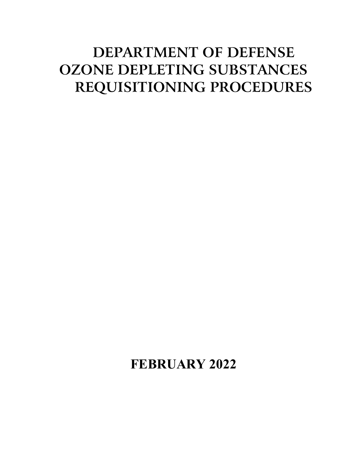# **DEPARTMENT OF DEFENSE OZONE DEPLETING SUBSTANCES REQUISITIONING PROCEDURES**

# **FEBRUARY 2022**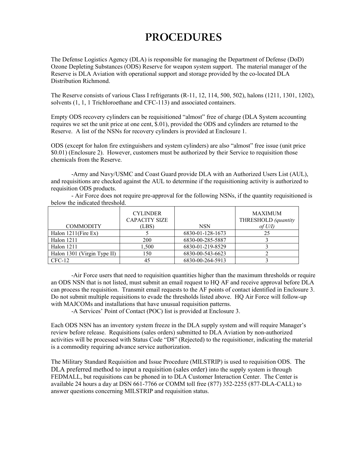## **PROCEDURES**

The Defense Logistics Agency (DLA) is responsible for managing the Department of Defense (DoD) Ozone Depleting Substances (ODS) Reserve for weapon system support. The material manager of the Reserve is DLA Aviation with operational support and storage provided by the co-located DLA Distribution Richmond.

The Reserve consists of various Class I refrigerants (R-11, 12, 114, 500, 502), halons (1211, 1301, 1202), solvents (1, 1, 1 Trichloroethane and CFC-113) and associated containers.

Empty ODS recovery cylinders can be requisitioned "almost" free of charge (DLA System accounting requires we set the unit price at one cent, \$.01), provided the ODS and cylinders are returned to the Reserve. A list of the NSNs for recovery cylinders is provided at Enclosure 1.

ODS (except for halon fire extinguishers and system cylinders) are also "almost" free issue (unit price \$0.01) (Enclosure 2). However, customers must be authorized by their Service to requisition those chemicals from the Reserve.

-Army and Navy/USMC and Coast Guard provide DLA with an Authorized Users List (AUL), and requisitions are checked against the AUL to determine if the requisitioning activity is authorized to requisition ODS products.

- Air Force does not require pre-approval for the following NSNs, if the quantity requisitioned is below the indicated threshold.

|                             | <b>CYLINDER</b><br><b>CAPACITY SIZE</b> |                  | <b>MAXIMUM</b><br>THRESHOLD (quantity |
|-----------------------------|-----------------------------------------|------------------|---------------------------------------|
| <b>COMMODITY</b>            | (LBS)                                   | <b>NSN</b>       | of $U$ /I)                            |
| Halon $1211$ (Fire Ex)      |                                         | 6830-01-128-1673 | 25                                    |
| Halon 1211                  | 200                                     | 6830-00-285-5887 |                                       |
| Halon 1211                  | 1,500                                   | 6830-01-219-8529 |                                       |
| Halon 1301 (Virgin Type II) | 150                                     | 6830-00-543-6623 |                                       |
| $CFC-12$                    | 45                                      | 6830-00-264-5913 |                                       |

-Air Force users that need to requisition quantities higher than the maximum thresholds or require an ODS NSN that is not listed, must submit an email request to HQ AF and receive approval before DLA can process the requisition. Transmit email requests to the AF points of contact identified in Enclosure 3. Do not submit multiple requisitions to evade the thresholds listed above. HQ Air Force will follow-up with MAJCOMs and installations that have unusual requisition patterns.

-A Services' Point of Contact (POC) list is provided at Enclosure 3.

Each ODS NSN has an inventory system freeze in the DLA supply system and will require Manager's review before release. Requisitions (sales orders) submitted to DLA Aviation by non-authorized activities will be processed with Status Code "D8" (Rejected) to the requisitioner, indicating the material is a commodity requiring advance service authorization.

The Military Standard Requisition and Issue Procedure (MILSTRIP) is used to requisition ODS. The DLA preferred method to input a requisition (sales order) into the supply system is through FEDMALL, but requisitions can be phoned in to DLA Customer Interaction Center. The Center is available 24 hours a day at DSN 661-7766 or COMM toll free (877) 352-2255 (877-DLA-CALL) to answer questions concerning MILSTRIP and requisition status.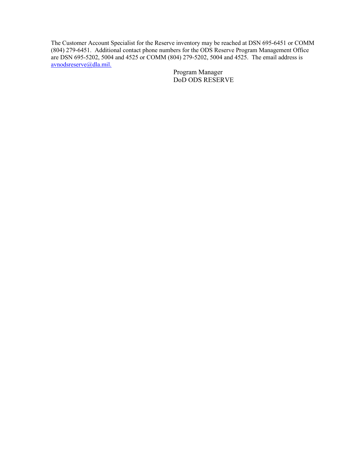The Customer Account Specialist for the Reserve inventory may be reached at DSN 695-6451 or COMM (804) 279-6451. Additional contact phone numbers for the ODS Reserve Program Management Office are DSN 695-5202, 5004 and 4525 or COMM (804) 279-5202, 5004 and 4525. The email address is avnodsreserve@dla.mil.

> Program Manager DoD ODS RESERVE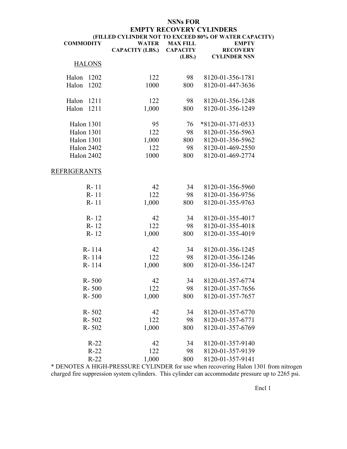#### **NSNs FOR EMPTY RECOVERY CYLINDERS (FILLED CYLINDER NOT TO EXCEED 80% OF WATER CAPACITY) COMMODITY** WATER **MAX FILL EMPTY**

|                     | <b>CAPACITY (LBS.)</b> | <b>CAPACITY</b><br>(LBS.) | <b>RECOVERY</b><br><b>CYLINDER NSN</b> |
|---------------------|------------------------|---------------------------|----------------------------------------|
| <b>HALONS</b>       |                        |                           |                                        |
| Halon<br>1202       | 122                    | 98                        | 8120-01-356-1781                       |
| Halon<br>1202       | 1000                   | 800                       | 8120-01-447-3636                       |
|                     |                        |                           |                                        |
| Halon<br>1211       | 122                    | 98                        | 8120-01-356-1248                       |
| Halon<br>1211       | 1,000                  | 800                       | 8120-01-356-1249                       |
|                     |                        |                           |                                        |
| Halon 1301          | 95                     | 76                        | *8120-01-371-0533                      |
| Halon 1301          | 122                    | 98                        | 8120-01-356-5963                       |
| Halon 1301          | 1,000                  | 800                       | 8120-01-356-5962                       |
| Halon 2402          | 122                    | 98                        | 8120-01-469-2550                       |
| Halon 2402          | 1000                   | 800                       | 8120-01-469-2774                       |
| <b>REFRIGERANTS</b> |                        |                           |                                        |
| R-11                | 42                     | 34                        | 8120-01-356-5960                       |
| $R - 11$            | 122                    | 98                        | 8120-01-356-9756                       |
| $R - 11$            | 1,000                  | 800                       | 8120-01-355-9763                       |
|                     |                        |                           |                                        |
| R-12                | 42                     | 34                        | 8120-01-355-4017                       |
| R-12                | 122                    | 98                        | 8120-01-355-4018                       |
| $R - 12$            | 1,000                  | 800                       | 8120-01-355-4019                       |
| R-114               | 42                     | 34                        | 8120-01-356-1245                       |
| R-114               | 122                    | 98                        | 8120-01-356-1246                       |
| R-114               | 1,000                  | 800                       | 8120-01-356-1247                       |
|                     |                        |                           |                                        |
| $R - 500$           | 42                     | 34                        | 8120-01-357-6774                       |
| R-500               | 122                    | 98                        | 8120-01-357-7656                       |
| $R - 500$           | 1,000                  | 800                       | 8120-01-357-7657                       |
|                     |                        |                           |                                        |
| $R - 502$           | 42                     | 34                        | 8120-01-357-6770                       |
| $R - 502$           | 122                    | 98                        | 8120-01-357-6771                       |
| $R - 502$           | 1,000                  | 800                       | 8120-01-357-6769                       |
| $R-22$              | 42                     | 34                        | 8120-01-357-9140                       |
| $R-22$              | 122                    | 98                        | 8120-01-357-9139                       |
| $R-22$              | 1,000                  | 800                       | 8120-01-357-9141                       |

\* DENOTES A HIGH-PRESSURE CYLINDER for use when recovering Halon 1301 from nitrogen charged fire suppression system cylinders. This cylinder can accommodate pressure up to 2265 psi.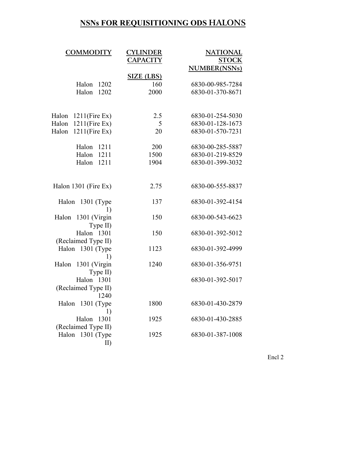#### **NSNs FOR REQUISITIONING ODS HALONS**

| <b>COMMODITY</b>                   | <b>CYLINDER</b><br><b>CAPACITY</b> | <b>NATIONAL</b><br><b>STOCK</b><br><b>NUMBER(NSNs)</b> |
|------------------------------------|------------------------------------|--------------------------------------------------------|
|                                    | <b>SIZE (LBS)</b>                  |                                                        |
| Halon<br>1202                      | 160                                | 6830-00-985-7284                                       |
| Halon<br>1202                      | 2000                               | 6830-01-370-8671                                       |
|                                    |                                    |                                                        |
| $1211$ (Fire Ex)<br>Halon          | 2.5                                | 6830-01-254-5030                                       |
| $1211$ (Fire Ex)<br>Halon          | 5                                  | 6830-01-128-1673                                       |
| $1211$ (Fire Ex)<br>Halon          | 20                                 | 6830-01-570-7231                                       |
| Halon<br>1211                      | 200                                | 6830-00-285-5887                                       |
| Halon<br>1211                      | 1500                               | 6830-01-219-8529                                       |
| Halon<br>1211                      | 1904                               | 6830-01-399-3032                                       |
|                                    |                                    |                                                        |
| Halon 1301 (Fire Ex)               | 2.75                               | 6830-00-555-8837                                       |
| Halon 1301 (Type<br>1)             | 137                                | 6830-01-392-4154                                       |
| 1301 (Virgin<br>Halon<br>Type II)  | 150                                | 6830-00-543-6623                                       |
| Halon 1301<br>(Reclaimed Type II)  | 150                                | 6830-01-392-5012                                       |
| Halon 1301 (Type<br>1)             | 1123                               | 6830-01-392-4999                                       |
| Halon 1301 (Virgin<br>Type II)     | 1240                               | 6830-01-356-9751                                       |
| Halon 1301<br>(Reclaimed Type II)  |                                    | 6830-01-392-5017                                       |
| 1240                               |                                    |                                                        |
| Halon 1301 (Type                   | 1800                               | 6830-01-430-2879                                       |
| 1)<br>1301<br>Halon                | 1925                               | 6830-01-430-2885                                       |
| (Reclaimed Type II)                |                                    |                                                        |
| Halon<br>$1301$ (Type<br>$\rm{II}$ | 1925                               | 6830-01-387-1008                                       |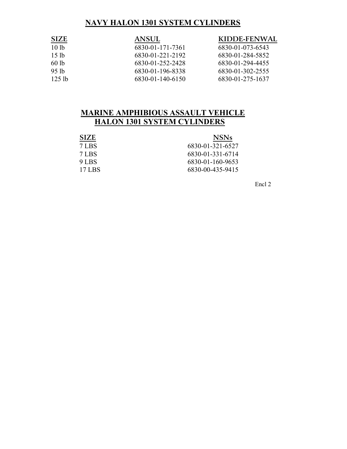#### **NAVY HALON 1301 SYSTEM CYLINDERS**

| <b>SIZE</b>      | <b>ANSUL</b>     | KIDDE-FENWAL     |
|------------------|------------------|------------------|
| 10 <sub>1b</sub> | 6830-01-171-7361 | 6830-01-073-6543 |
| 15 <sub>1b</sub> | 6830-01-221-2192 | 6830-01-284-5852 |
| 60lb             | 6830-01-252-2428 | 6830-01-294-4455 |
| 95 <sub>1h</sub> | 6830-01-196-8338 | 6830-01-302-2555 |
| 125 lb           | 6830-01-140-6150 | 6830-01-275-1637 |

#### **MARINE AMPHIBIOUS ASSAULT VEHICLE HALON 1301 SYSTEM CYLINDERS**

| <b>SIZE</b> | <b>NSNs</b>      |
|-------------|------------------|
| 7 LBS       | 6830-01-321-6527 |
| 7 LBS       | 6830-01-331-6714 |
| 9 LBS       | 6830-01-160-9653 |
| 17 LBS      | 6830-00-435-9415 |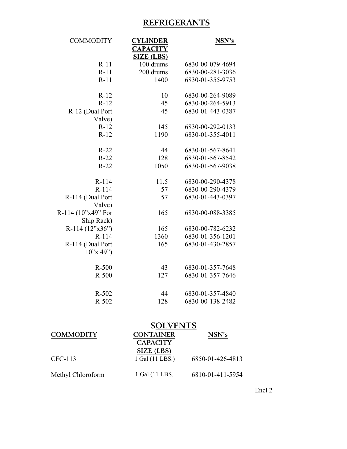### **REFRIGERANTS**

| <b>CYLINDER</b> | <b>NSN's</b>                                                                          |
|-----------------|---------------------------------------------------------------------------------------|
| <b>CAPACITY</b> |                                                                                       |
|                 | 6830-00-079-4694                                                                      |
|                 | 6830-00-281-3036                                                                      |
|                 | 6830-01-355-9753                                                                      |
|                 |                                                                                       |
| 10              | 6830-00-264-9089                                                                      |
| 45              | 6830-00-264-5913                                                                      |
| 45              | 6830-01-443-0387                                                                      |
|                 |                                                                                       |
| 145             | 6830-00-292-0133                                                                      |
| 1190            | 6830-01-355-4011                                                                      |
|                 |                                                                                       |
| 44              | 6830-01-567-8641                                                                      |
| 128             | 6830-01-567-8542                                                                      |
| 1050            | 6830-01-567-9038                                                                      |
|                 |                                                                                       |
| 11.5            | 6830-00-290-4378                                                                      |
|                 | 6830-00-290-4379                                                                      |
| 57              | 6830-01-443-0397                                                                      |
|                 |                                                                                       |
|                 | 6830-00-088-3385                                                                      |
|                 |                                                                                       |
| 165             | 6830-00-782-6232                                                                      |
|                 | 6830-01-356-1201                                                                      |
| 165             | 6830-01-430-2857                                                                      |
|                 |                                                                                       |
|                 | 6830-01-357-7648                                                                      |
|                 | 6830-01-357-7646                                                                      |
|                 |                                                                                       |
| 44              | 6830-01-357-4840                                                                      |
| 128             | 6830-00-138-2482                                                                      |
|                 | <b>SIZE (LBS)</b><br>100 drums<br>200 drums<br>1400<br>57<br>165<br>1360<br>43<br>127 |

### **SOLVENTS**

| <b>COMMODITY</b>  | <b>CONTAINER</b> | NSN's            |  |  |
|-------------------|------------------|------------------|--|--|
|                   | <b>CAPACITY</b>  |                  |  |  |
|                   | SIZE (LBS)       |                  |  |  |
| CFC-113           | 1 Gal (11 LBS.)  | 6850-01-426-4813 |  |  |
|                   |                  |                  |  |  |
| Methyl Chloroform | 1 Gal (11 LBS.   | 6810-01-411-5954 |  |  |